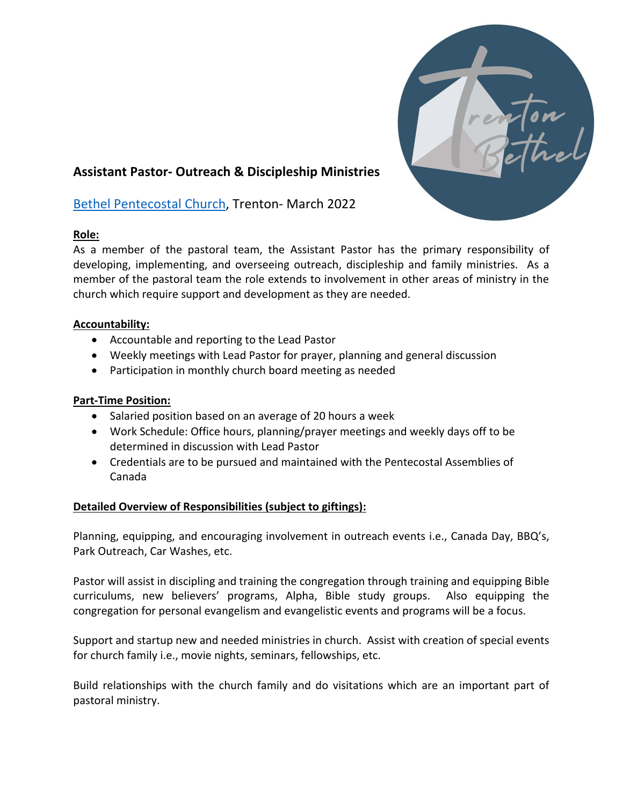

# **Assistant Pastor- Outreach & Discipleship Ministries**

# [Bethel Pentecostal Church,](https://www.trentonbethel.ca/) Trenton- March 2022

## **Role:**

As a member of the pastoral team, the Assistant Pastor has the primary responsibility of developing, implementing, and overseeing outreach, discipleship and family ministries. As a member of the pastoral team the role extends to involvement in other areas of ministry in the church which require support and development as they are needed.

### **Accountability:**

- Accountable and reporting to the Lead Pastor
- Weekly meetings with Lead Pastor for prayer, planning and general discussion
- Participation in monthly church board meeting as needed

### **Part-Time Position:**

- Salaried position based on an average of 20 hours a week
- Work Schedule: Office hours, planning/prayer meetings and weekly days off to be determined in discussion with Lead Pastor
- Credentials are to be pursued and maintained with the Pentecostal Assemblies of Canada

#### **Detailed Overview of Responsibilities (subject to giftings):**

Planning, equipping, and encouraging involvement in outreach events i.e., Canada Day, BBQ's, Park Outreach, Car Washes, etc.

Pastor will assist in discipling and training the congregation through training and equipping Bible curriculums, new believers' programs, Alpha, Bible study groups. Also equipping the congregation for personal evangelism and evangelistic events and programs will be a focus.

Support and startup new and needed ministries in church. Assist with creation of special events for church family i.e., movie nights, seminars, fellowships, etc.

Build relationships with the church family and do visitations which are an important part of pastoral ministry.